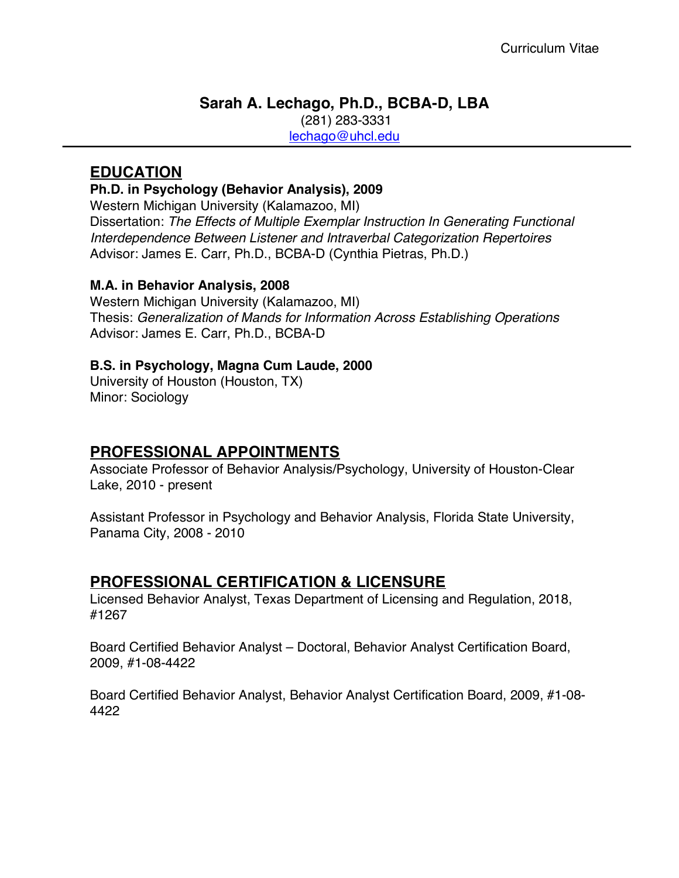### **Sarah A. Lechago, Ph.D., BCBA-D, LBA** (281) 283-3331 lechago@uhcl.edu

# **EDUCATION**

## **Ph.D. in Psychology (Behavior Analysis), 2009**

Western Michigan University (Kalamazoo, MI) Dissertation: *The Effects of Multiple Exemplar Instruction In Generating Functional Interdependence Between Listener and Intraverbal Categorization Repertoires* Advisor: James E. Carr, Ph.D., BCBA-D (Cynthia Pietras, Ph.D.)

### **M.A. in Behavior Analysis, 2008**

Western Michigan University (Kalamazoo, MI) Thesis: *Generalization of Mands for Information Across Establishing Operations* Advisor: James E. Carr, Ph.D., BCBA-D

### **B.S. in Psychology, Magna Cum Laude, 2000**

University of Houston (Houston, TX) Minor: Sociology

# **PROFESSIONAL APPOINTMENTS**

Associate Professor of Behavior Analysis/Psychology, University of Houston-Clear Lake, 2010 - present

Assistant Professor in Psychology and Behavior Analysis, Florida State University, Panama City, 2008 - 2010

# **PROFESSIONAL CERTIFICATION & LICENSURE**

Licensed Behavior Analyst, Texas Department of Licensing and Regulation, 2018, #1267

Board Certified Behavior Analyst – Doctoral, Behavior Analyst Certification Board, 2009, #1-08-4422

Board Certified Behavior Analyst, Behavior Analyst Certification Board, 2009, #1-08- 4422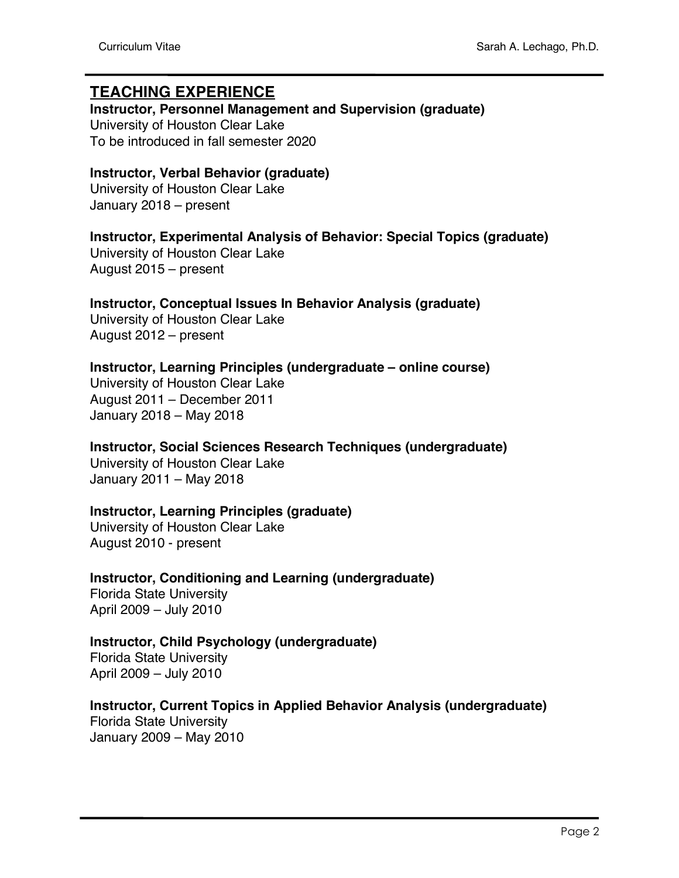# **TEACHING EXPERIENCE**

**Instructor, Personnel Management and Supervision (graduate)**

University of Houston Clear Lake To be introduced in fall semester 2020

### **Instructor, Verbal Behavior (graduate)**

University of Houston Clear Lake January 2018 – present

**Instructor, Experimental Analysis of Behavior: Special Topics (graduate)**

University of Houston Clear Lake August 2015 – present

### **Instructor, Conceptual Issues In Behavior Analysis (graduate)**

University of Houston Clear Lake August 2012 – present

**Instructor, Learning Principles (undergraduate – online course)** University of Houston Clear Lake August 2011 – December 2011 January 2018 – May 2018

**Instructor, Social Sciences Research Techniques (undergraduate)** University of Houston Clear Lake January 2011 – May 2018

## **Instructor, Learning Principles (graduate)**

University of Houston Clear Lake August 2010 - present

**Instructor, Conditioning and Learning (undergraduate)**

Florida State University April 2009 – July 2010

## **Instructor, Child Psychology (undergraduate)**

Florida State University April 2009 – July 2010

## **Instructor, Current Topics in Applied Behavior Analysis (undergraduate)**

Florida State University January 2009 – May 2010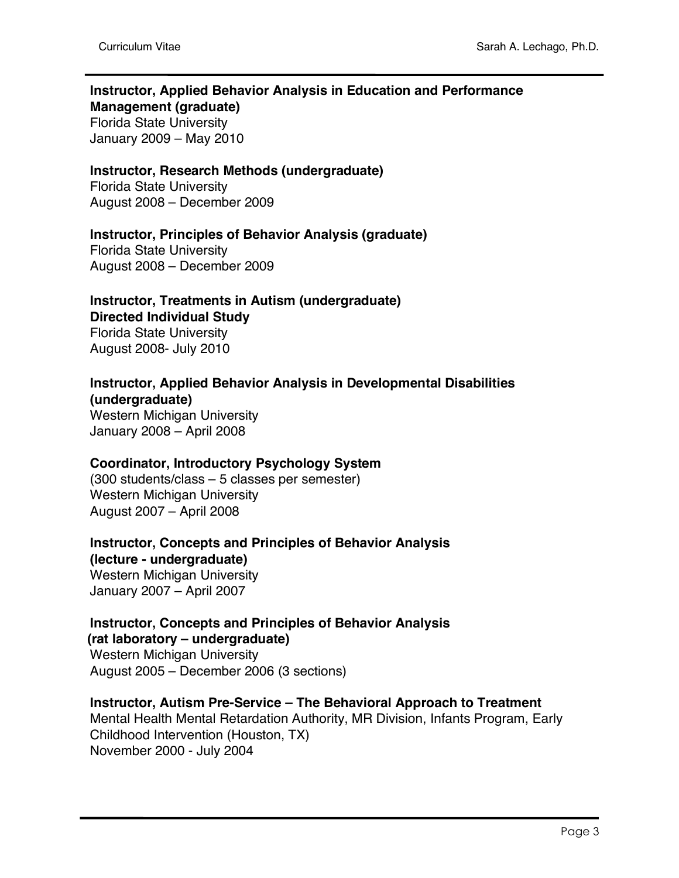# **Instructor, Applied Behavior Analysis in Education and Performance Management (graduate)** Florida State University

January 2009 – May 2010

### **Instructor, Research Methods (undergraduate)**

Florida State University August 2008 – December 2009

**Instructor, Principles of Behavior Analysis (graduate)**

Florida State University August 2008 – December 2009

**Instructor, Treatments in Autism (undergraduate) Directed Individual Study** Florida State University August 2008- July 2010

## **Instructor, Applied Behavior Analysis in Developmental Disabilities (undergraduate)** Western Michigan University

January 2008 – April 2008

### **Coordinator, Introductory Psychology System**

(300 students/class – 5 classes per semester) Western Michigan University August 2007 – April 2008

**Instructor, Concepts and Principles of Behavior Analysis (lecture - undergraduate)** Western Michigan University January 2007 – April 2007

**Instructor, Concepts and Principles of Behavior Analysis (rat laboratory – undergraduate)** Western Michigan University August 2005 – December 2006 (3 sections)

### **Instructor, Autism Pre-Service – The Behavioral Approach to Treatment**

Mental Health Mental Retardation Authority, MR Division, Infants Program, Early Childhood Intervention (Houston, TX) November 2000 - July 2004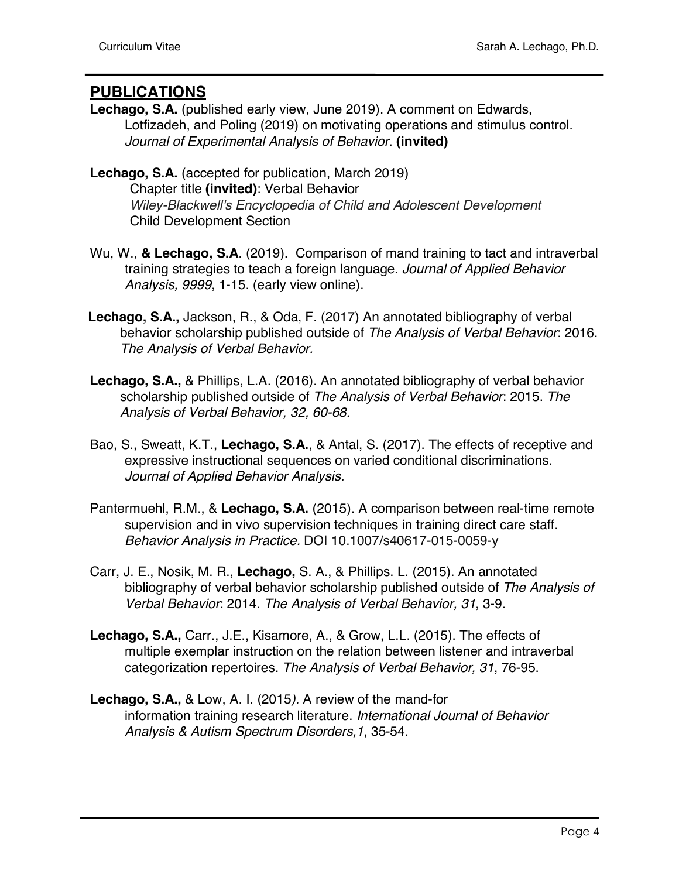# **PUBLICATIONS**

- **Lechago, S.A.** (published early view, June 2019). A comment on Edwards, Lotfizadeh, and Poling (2019) on motivating operations and stimulus control. *Journal of Experimental Analysis of Behavior*. **(invited)**
- **Lechago, S.A.** (accepted for publication, March 2019) Chapter title **(invited)**: Verbal Behavior *Wiley-Blackwell's Encyclopedia of Child and Adolescent Development* Child Development Section
- Wu, W., **& Lechago, S.A**. (2019). Comparison of mand training to tact and intraverbal training strategies to teach a foreign language. *Journal of Applied Behavior Analysis, 9999*, 1-15. (early view online).
- **Lechago, S.A.,** Jackson, R., & Oda, F. (2017) An annotated bibliography of verbal behavior scholarship published outside of *The Analysis of Verbal Behavior*: 2016. *The Analysis of Verbal Behavior.*
- **Lechago, S.A.,** & Phillips, L.A. (2016). An annotated bibliography of verbal behavior scholarship published outside of *The Analysis of Verbal Behavior*: 2015. *The Analysis of Verbal Behavior, 32, 60-68.*
- Bao, S., Sweatt, K.T., **Lechago, S.A.**, & Antal, S. (2017). The effects of receptive and expressive instructional sequences on varied conditional discriminations. *Journal of Applied Behavior Analysis.*
- Pantermuehl, R.M., & **Lechago, S.A.** (2015). A comparison between real-time remote supervision and in vivo supervision techniques in training direct care staff. *Behavior Analysis in Practice.* DOI 10.1007/s40617-015-0059-y
- Carr, J. E., Nosik, M. R., **Lechago,** S. A., & Phillips. L. (2015). An annotated bibliography of verbal behavior scholarship published outside of *The Analysis of Verbal Behavior*: 2014. *The Analysis of Verbal Behavior, 31*, 3-9.
- **Lechago, S.A.,** Carr., J.E., Kisamore, A., & Grow, L.L. (2015). The effects of multiple exemplar instruction on the relation between listener and intraverbal categorization repertoires. *The Analysis of Verbal Behavior, 31*, 76-95.
- **Lechago, S.A.,** & Low, A. I. (2015*).* A review of the mand-for information training research literature. *International Journal of Behavior Analysis & Autism Spectrum Disorders,1*, 35-54.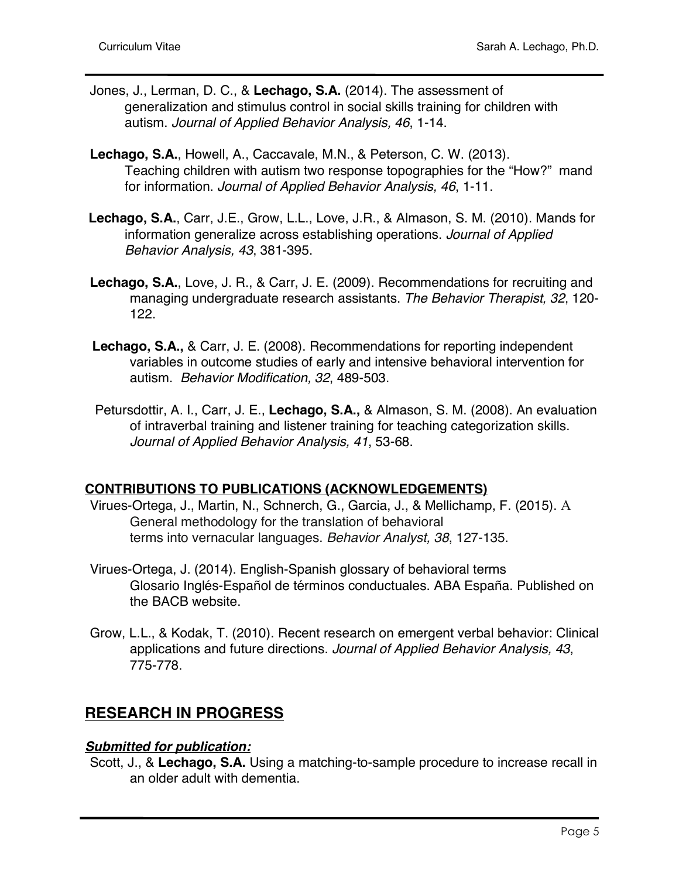- Jones, J., Lerman, D. C., & **Lechago, S.A.** (2014). The assessment of generalization and stimulus control in social skills training for children with autism. *Journal of Applied Behavior Analysis, 46*, 1-14.
- **Lechago, S.A.**, Howell, A., Caccavale, M.N., & Peterson, C. W. (2013). Teaching children with autism two response topographies for the "How?" mand for information. *Journal of Applied Behavior Analysis, 46*, 1-11.
- **Lechago, S.A.**, Carr, J.E., Grow, L.L., Love, J.R., & Almason, S. M. (2010). Mands for information generalize across establishing operations. *Journal of Applied Behavior Analysis, 43*, 381-395.
- **Lechago, S.A.**, Love, J. R., & Carr, J. E. (2009). Recommendations for recruiting and managing undergraduate research assistants. *The Behavior Therapist, 32*, 120- 122.
- **Lechago, S.A.,** & Carr, J. E. (2008). Recommendations for reporting independent variables in outcome studies of early and intensive behavioral intervention for autism. *Behavior Modification, 32*, 489-503.
- Petursdottir, A. I., Carr, J. E., **Lechago, S.A.,** & Almason, S. M. (2008). An evaluation of intraverbal training and listener training for teaching categorization skills. *Journal of Applied Behavior Analysis, 41*, 53-68.

## **CONTRIBUTIONS TO PUBLICATIONS (ACKNOWLEDGEMENTS)**

- Virues-Ortega, J., Martin, N., Schnerch, G., Garcia, J., & Mellichamp, F. (2015). A General methodology for the translation of behavioral terms into vernacular languages. *Behavior Analyst, 38*, 127-135.
- Virues-Ortega, J. (2014). English-Spanish glossary of behavioral terms Glosario Inglés-Español de términos conductuales. ABA España. Published on the BACB website.
- Grow, L.L., & Kodak, T. (2010). Recent research on emergent verbal behavior: Clinical applications and future directions. *Journal of Applied Behavior Analysis, 43*, 775-778.

# **RESEARCH IN PROGRESS**

## *Submitted for publication:*

Scott, J., & **Lechago, S.A.** Using a matching-to-sample procedure to increase recall in an older adult with dementia.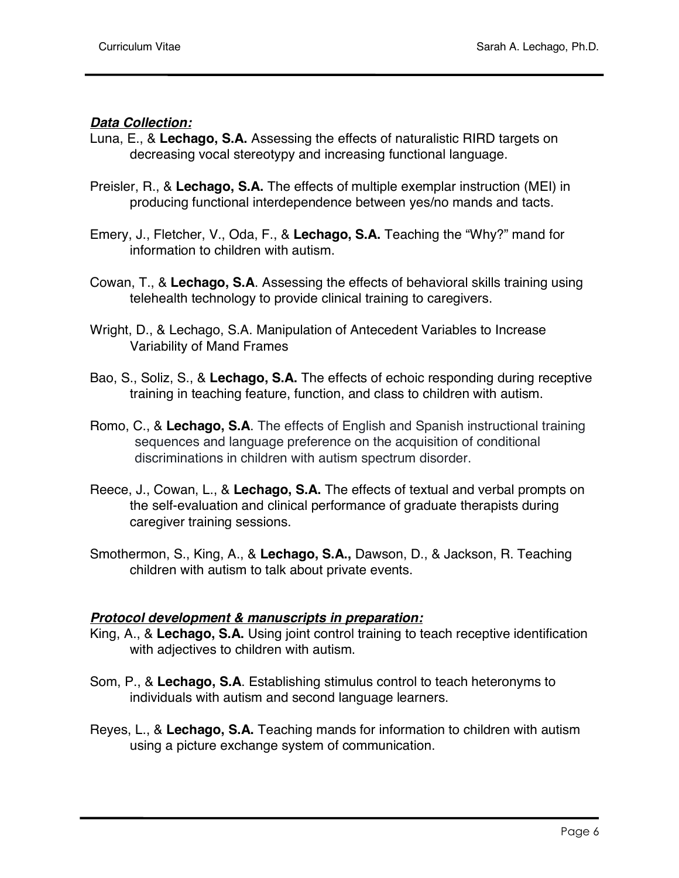## *Data Collection:*

- Luna, E., & **Lechago, S.A.** Assessing the effects of naturalistic RIRD targets on decreasing vocal stereotypy and increasing functional language.
- Preisler, R., & **Lechago, S.A.** The effects of multiple exemplar instruction (MEI) in producing functional interdependence between yes/no mands and tacts.
- Emery, J., Fletcher, V., Oda, F., & **Lechago, S.A.** Teaching the "Why?" mand for information to children with autism.
- Cowan, T., & **Lechago, S.A**. Assessing the effects of behavioral skills training using telehealth technology to provide clinical training to caregivers.
- Wright, D., & Lechago, S.A. Manipulation of Antecedent Variables to Increase Variability of Mand Frames
- Bao, S., Soliz, S., & **Lechago, S.A.** The effects of echoic responding during receptive training in teaching feature, function, and class to children with autism.
- Romo, C., & **Lechago, S.A**. The effects of English and Spanish instructional training sequences and language preference on the acquisition of conditional discriminations in children with autism spectrum disorder.
- Reece, J., Cowan, L., & **Lechago, S.A.** The effects of textual and verbal prompts on the self-evaluation and clinical performance of graduate therapists during caregiver training sessions.
- Smothermon, S., King, A., & **Lechago, S.A.,** Dawson, D., & Jackson, R. Teaching children with autism to talk about private events.

# *Protocol development & manuscripts in preparation:*

- King, A., & **Lechago, S.A.** Using joint control training to teach receptive identification with adjectives to children with autism.
- Som, P., & **Lechago, S.A**. Establishing stimulus control to teach heteronyms to individuals with autism and second language learners.
- Reyes, L., & **Lechago, S.A.** Teaching mands for information to children with autism using a picture exchange system of communication.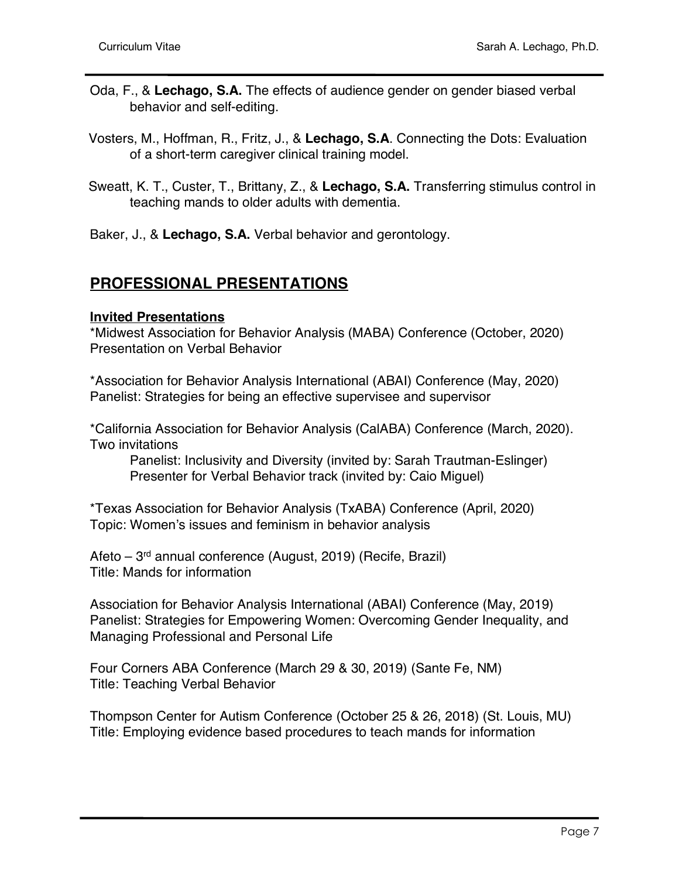- Oda, F., & **Lechago, S.A.** The effects of audience gender on gender biased verbal behavior and self-editing.
- Vosters, M., Hoffman, R., Fritz, J., & **Lechago, S.A**. Connecting the Dots: Evaluation of a short-term caregiver clinical training model.
- Sweatt, K. T., Custer, T., Brittany, Z., & **Lechago, S.A.** Transferring stimulus control in teaching mands to older adults with dementia.

Baker, J., & **Lechago, S.A.** Verbal behavior and gerontology.

# **PROFESSIONAL PRESENTATIONS**

### **Invited Presentations**

\*Midwest Association for Behavior Analysis (MABA) Conference (October, 2020) Presentation on Verbal Behavior

\*Association for Behavior Analysis International (ABAI) Conference (May, 2020) Panelist: Strategies for being an effective supervisee and supervisor

\*California Association for Behavior Analysis (CalABA) Conference (March, 2020). Two invitations

Panelist: Inclusivity and Diversity (invited by: Sarah Trautman-Eslinger) Presenter for Verbal Behavior track (invited by: Caio Miguel)

\*Texas Association for Behavior Analysis (TxABA) Conference (April, 2020) Topic: Women's issues and feminism in behavior analysis

Afeto – 3rd annual conference (August, 2019) (Recife, Brazil) Title: Mands for information

Association for Behavior Analysis International (ABAI) Conference (May, 2019) Panelist: Strategies for Empowering Women: Overcoming Gender Inequality, and Managing Professional and Personal Life

Four Corners ABA Conference (March 29 & 30, 2019) (Sante Fe, NM) Title: Teaching Verbal Behavior

Thompson Center for Autism Conference (October 25 & 26, 2018) (St. Louis, MU) Title: Employing evidence based procedures to teach mands for information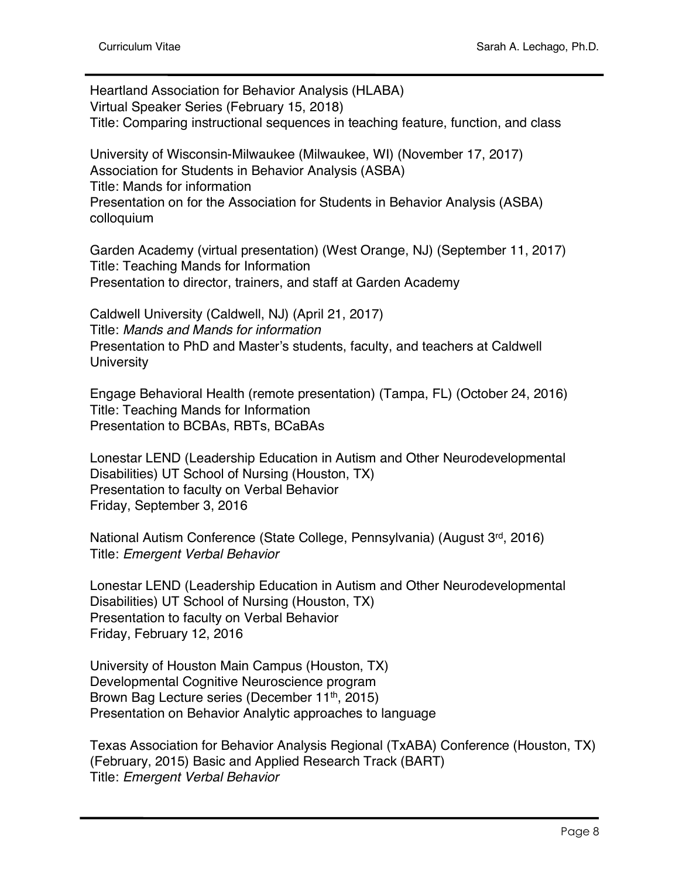Heartland Association for Behavior Analysis (HLABA) Virtual Speaker Series (February 15, 2018) Title: Comparing instructional sequences in teaching feature, function, and class

University of Wisconsin-Milwaukee (Milwaukee, WI) (November 17, 2017) Association for Students in Behavior Analysis (ASBA) Title: Mands for information Presentation on for the Association for Students in Behavior Analysis (ASBA) colloquium

Garden Academy (virtual presentation) (West Orange, NJ) (September 11, 2017) Title: Teaching Mands for Information Presentation to director, trainers, and staff at Garden Academy

Caldwell University (Caldwell, NJ) (April 21, 2017) Title: *Mands and Mands for information* Presentation to PhD and Master's students, faculty, and teachers at Caldwell **University** 

Engage Behavioral Health (remote presentation) (Tampa, FL) (October 24, 2016) Title: Teaching Mands for Information Presentation to BCBAs, RBTs, BCaBAs

Lonestar LEND (Leadership Education in Autism and Other Neurodevelopmental Disabilities) UT School of Nursing (Houston, TX) Presentation to faculty on Verbal Behavior Friday, September 3, 2016

National Autism Conference (State College, Pennsylvania) (August 3rd, 2016) Title: *Emergent Verbal Behavior*

Lonestar LEND (Leadership Education in Autism and Other Neurodevelopmental Disabilities) UT School of Nursing (Houston, TX) Presentation to faculty on Verbal Behavior Friday, February 12, 2016

University of Houston Main Campus (Houston, TX) Developmental Cognitive Neuroscience program Brown Bag Lecture series (December 11<sup>th</sup>, 2015) Presentation on Behavior Analytic approaches to language

Texas Association for Behavior Analysis Regional (TxABA) Conference (Houston, TX) (February, 2015) Basic and Applied Research Track (BART) Title: *Emergent Verbal Behavior*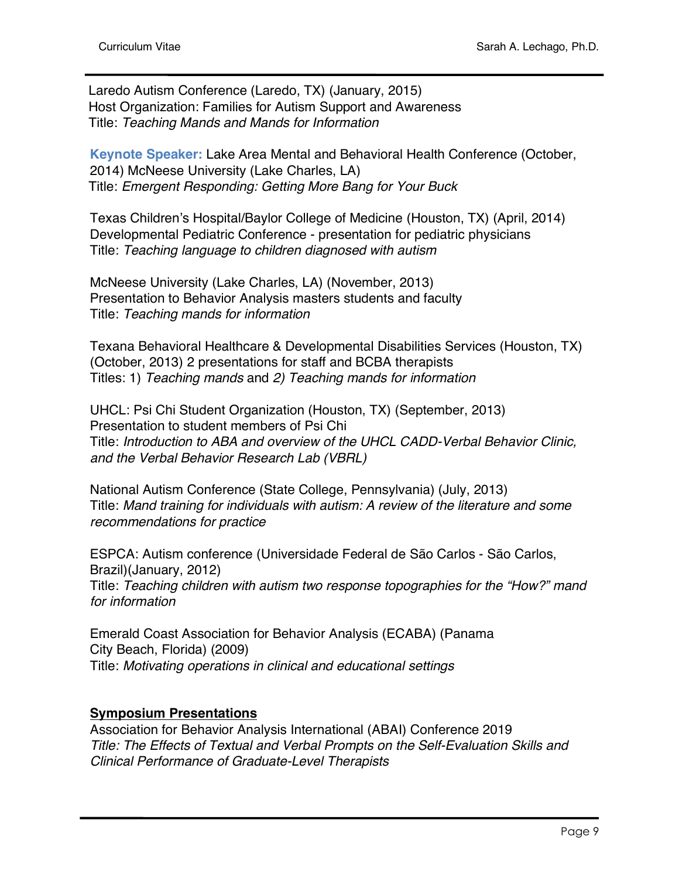Laredo Autism Conference (Laredo, TX) (January, 2015) Host Organization: Families for Autism Support and Awareness Title: *Teaching Mands and Mands for Information*

**Keynote Speaker:** Lake Area Mental and Behavioral Health Conference (October, 2014) McNeese University (Lake Charles, LA) Title: *Emergent Responding: Getting More Bang for Your Buck*

Texas Children's Hospital/Baylor College of Medicine (Houston, TX) (April, 2014) Developmental Pediatric Conference - presentation for pediatric physicians Title: *Teaching language to children diagnosed with autism*

McNeese University (Lake Charles, LA) (November, 2013) Presentation to Behavior Analysis masters students and faculty Title: *Teaching mands for information*

Texana Behavioral Healthcare & Developmental Disabilities Services (Houston, TX) (October, 2013) 2 presentations for staff and BCBA therapists Titles: 1) *Teaching mands* and *2) Teaching mands for information* 

UHCL: Psi Chi Student Organization (Houston, TX) (September, 2013) Presentation to student members of Psi Chi Title: *Introduction to ABA and overview of the UHCL CADD-Verbal Behavior Clinic, and the Verbal Behavior Research Lab (VBRL)*

National Autism Conference (State College, Pennsylvania) (July, 2013) Title: *Mand training for individuals with autism: A review of the literature and some recommendations for practice*

ESPCA: Autism conference (Universidade Federal de São Carlos - São Carlos, Brazil)(January, 2012) Title: *Teaching children with autism two response topographies for the "How?" mand for information*

Emerald Coast Association for Behavior Analysis (ECABA) (Panama City Beach, Florida) (2009) Title: *Motivating operations in clinical and educational settings*

## **Symposium Presentations**

Association for Behavior Analysis International (ABAI) Conference 2019 *Title: The Effects of Textual and Verbal Prompts on the Self-Evaluation Skills and Clinical Performance of Graduate-Level Therapists*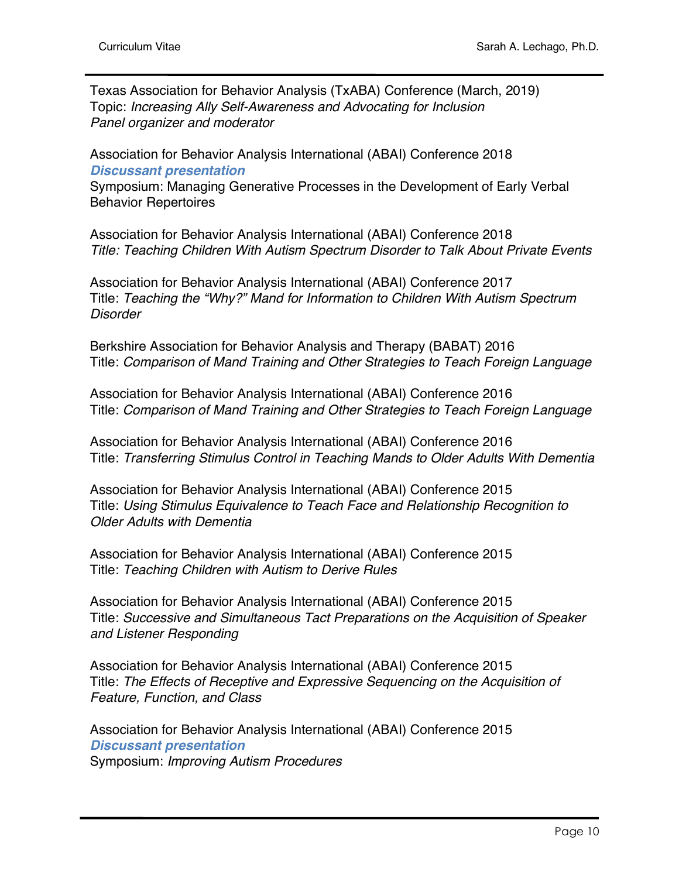Texas Association for Behavior Analysis (TxABA) Conference (March, 2019) Topic: *Increasing Ally Self-Awareness and Advocating for Inclusion Panel organizer and moderator*

Association for Behavior Analysis International (ABAI) Conference 2018 *Discussant presentation*

Symposium: Managing Generative Processes in the Development of Early Verbal Behavior Repertoires

Association for Behavior Analysis International (ABAI) Conference 2018 *Title: Teaching Children With Autism Spectrum Disorder to Talk About Private Events*

Association for Behavior Analysis International (ABAI) Conference 2017 Title: *Teaching the "Why?" Mand for Information to Children With Autism Spectrum Disorder*

Berkshire Association for Behavior Analysis and Therapy (BABAT) 2016 Title: *Comparison of Mand Training and Other Strategies to Teach Foreign Language*

Association for Behavior Analysis International (ABAI) Conference 2016 Title: *Comparison of Mand Training and Other Strategies to Teach Foreign Language*

Association for Behavior Analysis International (ABAI) Conference 2016 Title: *Transferring Stimulus Control in Teaching Mands to Older Adults With Dementia*

Association for Behavior Analysis International (ABAI) Conference 2015 Title: *Using Stimulus Equivalence to Teach Face and Relationship Recognition to Older Adults with Dementia*

Association for Behavior Analysis International (ABAI) Conference 2015 Title: *Teaching Children with Autism to Derive Rules*

Association for Behavior Analysis International (ABAI) Conference 2015 Title: *Successive and Simultaneous Tact Preparations on the Acquisition of Speaker and Listener Responding*

Association for Behavior Analysis International (ABAI) Conference 2015 Title: *The Effects of Receptive and Expressive Sequencing on the Acquisition of Feature, Function, and Class*

Association for Behavior Analysis International (ABAI) Conference 2015 *Discussant presentation* Symposium: *Improving Autism Procedures*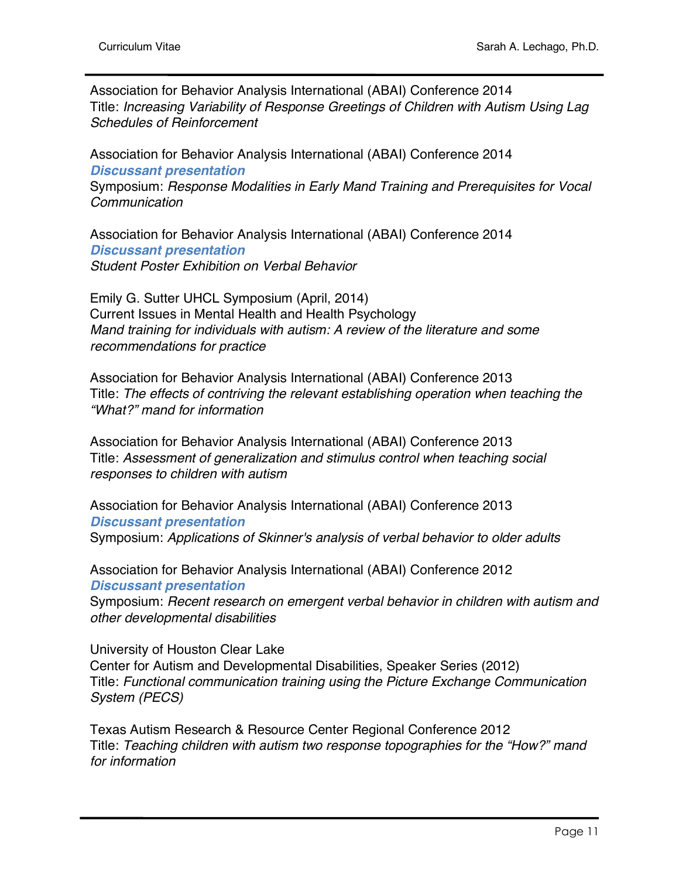*Communication*

Association for Behavior Analysis International (ABAI) Conference 2014 Title: *Increasing Variability of Response Greetings of Children with Autism Using Lag Schedules of Reinforcement*

Association for Behavior Analysis International (ABAI) Conference 2014 *Discussant presentation* Symposium: *Response Modalities in Early Mand Training and Prerequisites for Vocal* 

Association for Behavior Analysis International (ABAI) Conference 2014 *Discussant presentation Student Poster Exhibition on Verbal Behavior*

Emily G. Sutter UHCL Symposium (April, 2014) Current Issues in Mental Health and Health Psychology *Mand training for individuals with autism: A review of the literature and some recommendations for practice*

Association for Behavior Analysis International (ABAI) Conference 2013 Title: *The effects of contriving the relevant establishing operation when teaching the "What?" mand for information*

Association for Behavior Analysis International (ABAI) Conference 2013 Title: *Assessment of generalization and stimulus control when teaching social responses to children with autism*

Association for Behavior Analysis International (ABAI) Conference 2013 *Discussant presentation* Symposium: *Applications of Skinner's analysis of verbal behavior to older adults*

Association for Behavior Analysis International (ABAI) Conference 2012 *Discussant presentation*

Symposium: *Recent research on emergent verbal behavior in children with autism and other developmental disabilities*

University of Houston Clear Lake Center for Autism and Developmental Disabilities, Speaker Series (2012) Title: *Functional communication training using the Picture Exchange Communication System (PECS)*

Texas Autism Research & Resource Center Regional Conference 2012 Title: *Teaching children with autism two response topographies for the "How?" mand for information*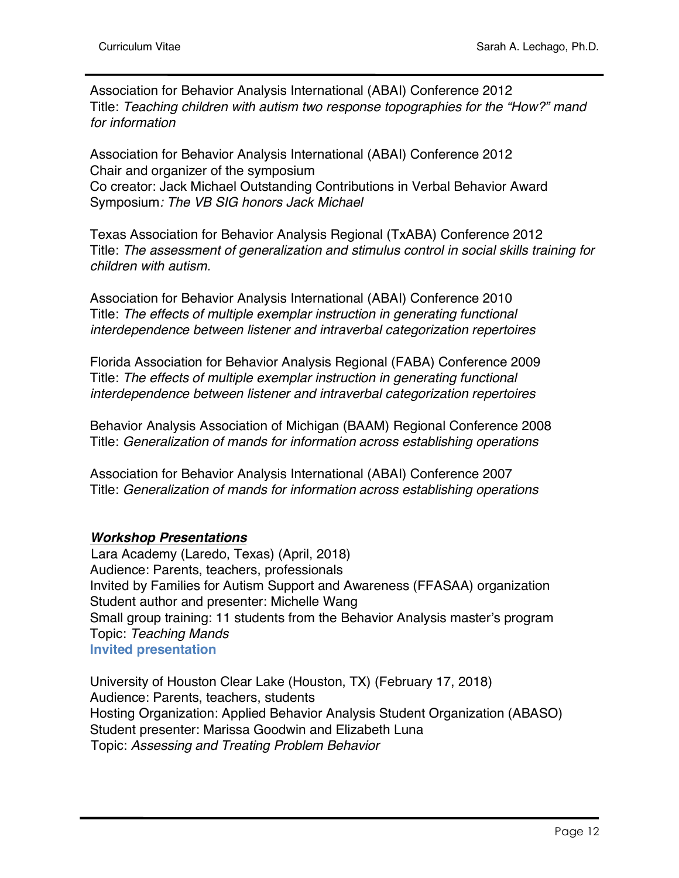Association for Behavior Analysis International (ABAI) Conference 2012 Title: *Teaching children with autism two response topographies for the "How?" mand for information*

Association for Behavior Analysis International (ABAI) Conference 2012 Chair and organizer of the symposium Co creator: Jack Michael Outstanding Contributions in Verbal Behavior Award Symposium*: The VB SIG honors Jack Michael*

Texas Association for Behavior Analysis Regional (TxABA) Conference 2012 Title: *The assessment of generalization and stimulus control in social skills training for children with autism.* 

Association for Behavior Analysis International (ABAI) Conference 2010 Title: *The effects of multiple exemplar instruction in generating functional interdependence between listener and intraverbal categorization repertoires*

Florida Association for Behavior Analysis Regional (FABA) Conference 2009 Title: *The effects of multiple exemplar instruction in generating functional interdependence between listener and intraverbal categorization repertoires*

Behavior Analysis Association of Michigan (BAAM) Regional Conference 2008 Title: *Generalization of mands for information across establishing operations*

Association for Behavior Analysis International (ABAI) Conference 2007 Title: *Generalization of mands for information across establishing operations*

## *Workshop Presentations*

Lara Academy (Laredo, Texas) (April, 2018) Audience: Parents, teachers, professionals Invited by Families for Autism Support and Awareness (FFASAA) organization Student author and presenter: Michelle Wang Small group training: 11 students from the Behavior Analysis master's program Topic: *Teaching Mands*  **Invited presentation**

University of Houston Clear Lake (Houston, TX) (February 17, 2018) Audience: Parents, teachers, students Hosting Organization: Applied Behavior Analysis Student Organization (ABASO) Student presenter: Marissa Goodwin and Elizabeth Luna Topic: *Assessing and Treating Problem Behavior*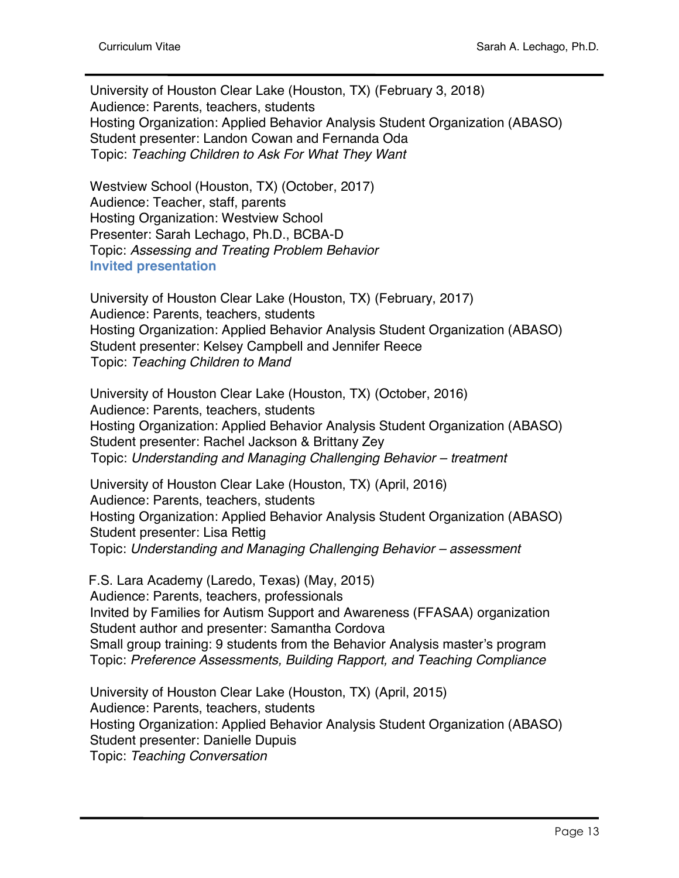University of Houston Clear Lake (Houston, TX) (February 3, 2018) Audience: Parents, teachers, students Hosting Organization: Applied Behavior Analysis Student Organization (ABASO) Student presenter: Landon Cowan and Fernanda Oda Topic: *Teaching Children to Ask For What They Want*

Westview School (Houston, TX) (October, 2017) Audience: Teacher, staff, parents Hosting Organization: Westview School Presenter: Sarah Lechago, Ph.D., BCBA-D Topic: *Assessing and Treating Problem Behavior* **Invited presentation**

University of Houston Clear Lake (Houston, TX) (February, 2017) Audience: Parents, teachers, students Hosting Organization: Applied Behavior Analysis Student Organization (ABASO) Student presenter: Kelsey Campbell and Jennifer Reece Topic: *Teaching Children to Mand*

University of Houston Clear Lake (Houston, TX) (October, 2016) Audience: Parents, teachers, students Hosting Organization: Applied Behavior Analysis Student Organization (ABASO) Student presenter: Rachel Jackson & Brittany Zey Topic: *Understanding and Managing Challenging Behavior – treatment*

University of Houston Clear Lake (Houston, TX) (April, 2016) Audience: Parents, teachers, students Hosting Organization: Applied Behavior Analysis Student Organization (ABASO) Student presenter: Lisa Rettig Topic: *Understanding and Managing Challenging Behavior – assessment*

F.S. Lara Academy (Laredo, Texas) (May, 2015) Audience: Parents, teachers, professionals Invited by Families for Autism Support and Awareness (FFASAA) organization Student author and presenter: Samantha Cordova Small group training: 9 students from the Behavior Analysis master's program Topic: *Preference Assessments, Building Rapport, and Teaching Compliance*

University of Houston Clear Lake (Houston, TX) (April, 2015) Audience: Parents, teachers, students Hosting Organization: Applied Behavior Analysis Student Organization (ABASO) Student presenter: Danielle Dupuis Topic: *Teaching Conversation*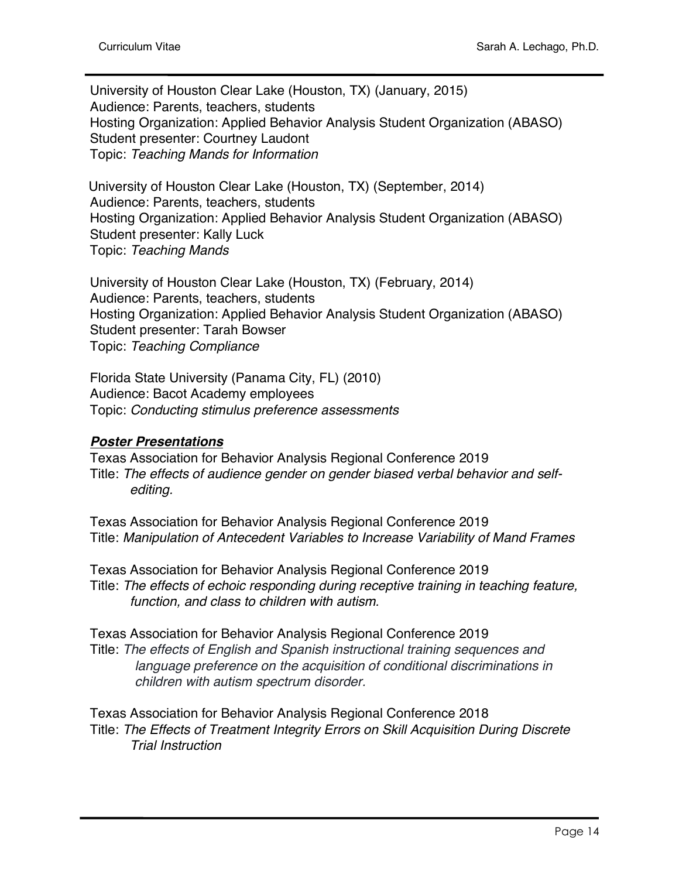University of Houston Clear Lake (Houston, TX) (January, 2015) Audience: Parents, teachers, students Hosting Organization: Applied Behavior Analysis Student Organization (ABASO) Student presenter: Courtney Laudont Topic: *Teaching Mands for Information*

University of Houston Clear Lake (Houston, TX) (September, 2014) Audience: Parents, teachers, students Hosting Organization: Applied Behavior Analysis Student Organization (ABASO) Student presenter: Kally Luck Topic: *Teaching Mands* 

University of Houston Clear Lake (Houston, TX) (February, 2014) Audience: Parents, teachers, students Hosting Organization: Applied Behavior Analysis Student Organization (ABASO) Student presenter: Tarah Bowser Topic: *Teaching Compliance* 

Florida State University (Panama City, FL) (2010) Audience: Bacot Academy employees Topic: *Conducting stimulus preference assessments*

### *Poster Presentations*

Texas Association for Behavior Analysis Regional Conference 2019 Title: *The effects of audience gender on gender biased verbal behavior and selfediting.*

Texas Association for Behavior Analysis Regional Conference 2019 Title: *Manipulation of Antecedent Variables to Increase Variability of Mand Frames*

Texas Association for Behavior Analysis Regional Conference 2019 Title: *The effects of echoic responding during receptive training in teaching feature, function, and class to children with autism.*

Texas Association for Behavior Analysis Regional Conference 2019 Title: *The effects of English and Spanish instructional training sequences and language preference on the acquisition of conditional discriminations in children with autism spectrum disorder.*

Texas Association for Behavior Analysis Regional Conference 2018 Title: *The Effects of Treatment Integrity Errors on Skill Acquisition During Discrete Trial Instruction*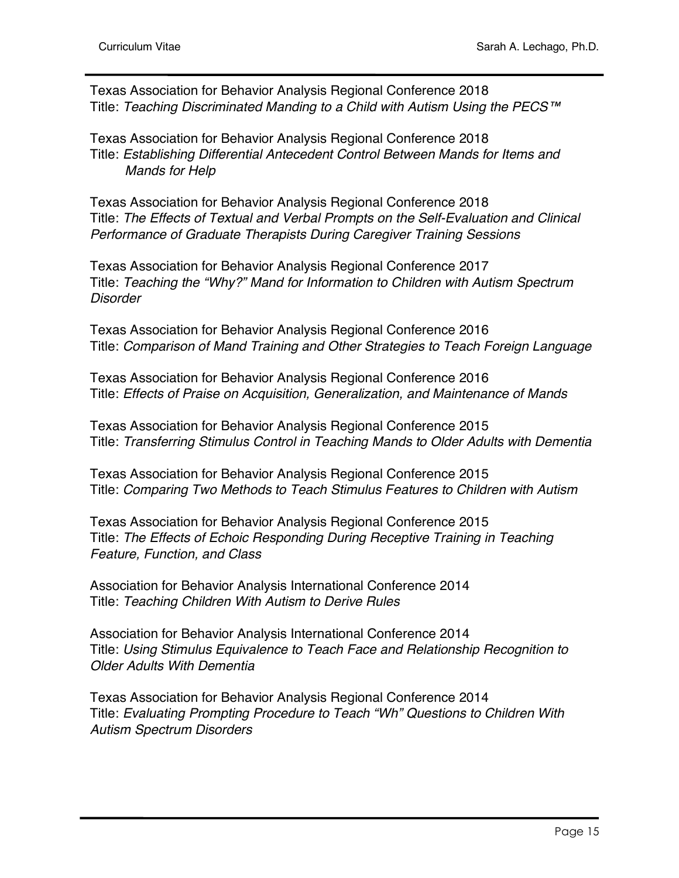Texas Association for Behavior Analysis Regional Conference 2018 Title: *Teaching Discriminated Manding to a Child with Autism Using the PECS™*

Texas Association for Behavior Analysis Regional Conference 2018 Title: *Establishing Differential Antecedent Control Between Mands for Items and Mands for Help*

Texas Association for Behavior Analysis Regional Conference 2018 Title: *The Effects of Textual and Verbal Prompts on the Self-Evaluation and Clinical Performance of Graduate Therapists During Caregiver Training Sessions*

Texas Association for Behavior Analysis Regional Conference 2017 Title: *Teaching the "Why?" Mand for Information to Children with Autism Spectrum Disorder*

Texas Association for Behavior Analysis Regional Conference 2016 Title: *Comparison of Mand Training and Other Strategies to Teach Foreign Language*

Texas Association for Behavior Analysis Regional Conference 2016 Title: *Effects of Praise on Acquisition, Generalization, and Maintenance of Mands*

Texas Association for Behavior Analysis Regional Conference 2015 Title: *Transferring Stimulus Control in Teaching Mands to Older Adults with Dementia*

Texas Association for Behavior Analysis Regional Conference 2015 Title: *Comparing Two Methods to Teach Stimulus Features to Children with Autism*

Texas Association for Behavior Analysis Regional Conference 2015 Title: *The Effects of Echoic Responding During Receptive Training in Teaching Feature, Function, and Class*

Association for Behavior Analysis International Conference 2014 Title: *Teaching Children With Autism to Derive Rules*

Association for Behavior Analysis International Conference 2014 Title: *Using Stimulus Equivalence to Teach Face and Relationship Recognition to Older Adults With Dementia*

Texas Association for Behavior Analysis Regional Conference 2014 Title: *Evaluating Prompting Procedure to Teach "Wh" Questions to Children With Autism Spectrum Disorders*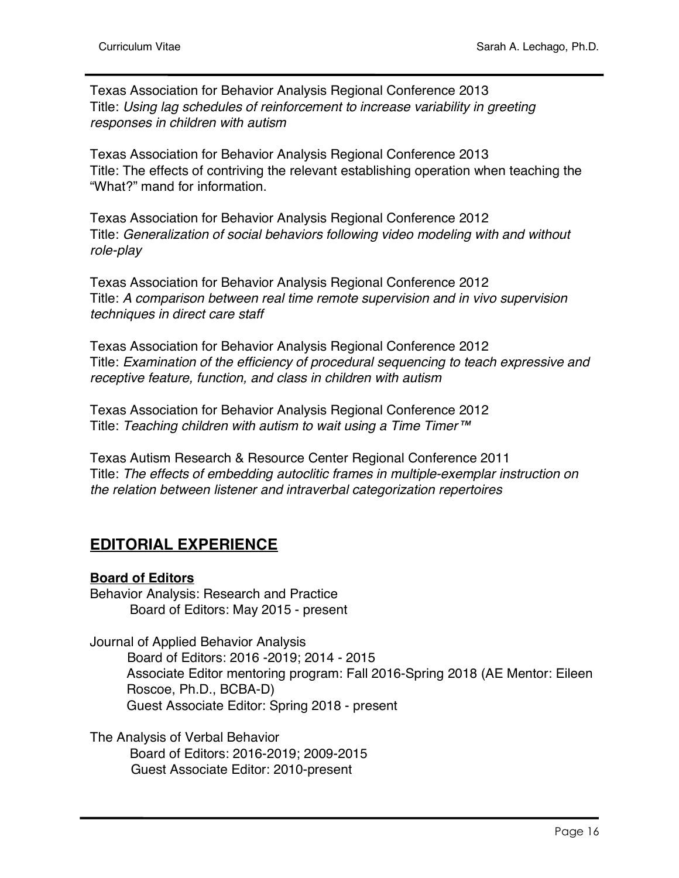Texas Association for Behavior Analysis Regional Conference 2013 Title: *Using lag schedules of reinforcement to increase variability in greeting responses in children with autism*

Texas Association for Behavior Analysis Regional Conference 2013 Title: The effects of contriving the relevant establishing operation when teaching the "What?" mand for information.

Texas Association for Behavior Analysis Regional Conference 2012 Title: *Generalization of social behaviors following video modeling with and without role-play*

Texas Association for Behavior Analysis Regional Conference 2012 Title: *A comparison between real time remote supervision and in vivo supervision techniques in direct care staff* 

Texas Association for Behavior Analysis Regional Conference 2012 Title: *Examination of the efficiency of procedural sequencing to teach expressive and receptive feature, function, and class in children with autism*

Texas Association for Behavior Analysis Regional Conference 2012 Title: *Teaching children with autism to wait using a Time Timer™* 

Texas Autism Research & Resource Center Regional Conference 2011 Title: *The effects of embedding autoclitic frames in multiple-exemplar instruction on the relation between listener and intraverbal categorization repertoires*

# **EDITORIAL EXPERIENCE**

# **Board of Editors**

Behavior Analysis: Research and Practice Board of Editors: May 2015 - present

Journal of Applied Behavior Analysis Board of Editors: 2016 -2019; 2014 - 2015 Associate Editor mentoring program: Fall 2016-Spring 2018 (AE Mentor: Eileen Roscoe, Ph.D., BCBA-D) Guest Associate Editor: Spring 2018 - present

The Analysis of Verbal Behavior Board of Editors: 2016-2019; 2009-2015 Guest Associate Editor: 2010-present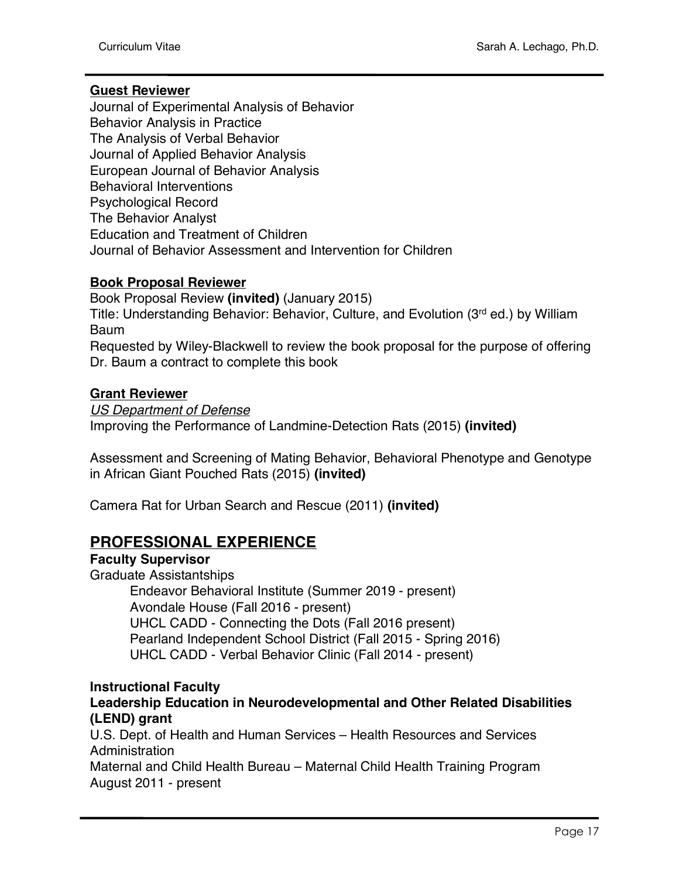## **Guest Reviewer**

Journal of Experimental Analysis of Behavior Behavior Analysis in Practice The Analysis of Verbal Behavior Journal of Applied Behavior Analysis European Journal of Behavior Analysis Behavioral Interventions Psychological Record The Behavior Analyst Education and Treatment of Children Journal of Behavior Assessment and Intervention for Children

### **Book Proposal Reviewer**

Book Proposal Review **(invited)** (January 2015) Title: Understanding Behavior: Behavior, Culture, and Evolution (3rd ed.) by William Baum Requested by Wiley-Blackwell to review the book proposal for the purpose of offering Dr. Baum a contract to complete this book

### **Grant Reviewer**

*US Department of Defense* Improving the Performance of Landmine-Detection Rats (2015) **(invited)**

Assessment and Screening of Mating Behavior, Behavioral Phenotype and Genotype in African Giant Pouched Rats (2015) **(invited)**

Camera Rat for Urban Search and Rescue (2011) **(invited)**

# **PROFESSIONAL EXPERIENCE**

### **Faculty Supervisor**

Graduate Assistantships

Endeavor Behavioral Institute (Summer 2019 - present) Avondale House (Fall 2016 - present) UHCL CADD - Connecting the Dots (Fall 2016 present) Pearland Independent School District (Fall 2015 - Spring 2016) UHCL CADD - Verbal Behavior Clinic (Fall 2014 - present)

### **Instructional Faculty**

## **Leadership Education in Neurodevelopmental and Other Related Disabilities (LEND) grant**

U.S. Dept. of Health and Human Services – Health Resources and Services **Administration** 

Maternal and Child Health Bureau – Maternal Child Health Training Program August 2011 - present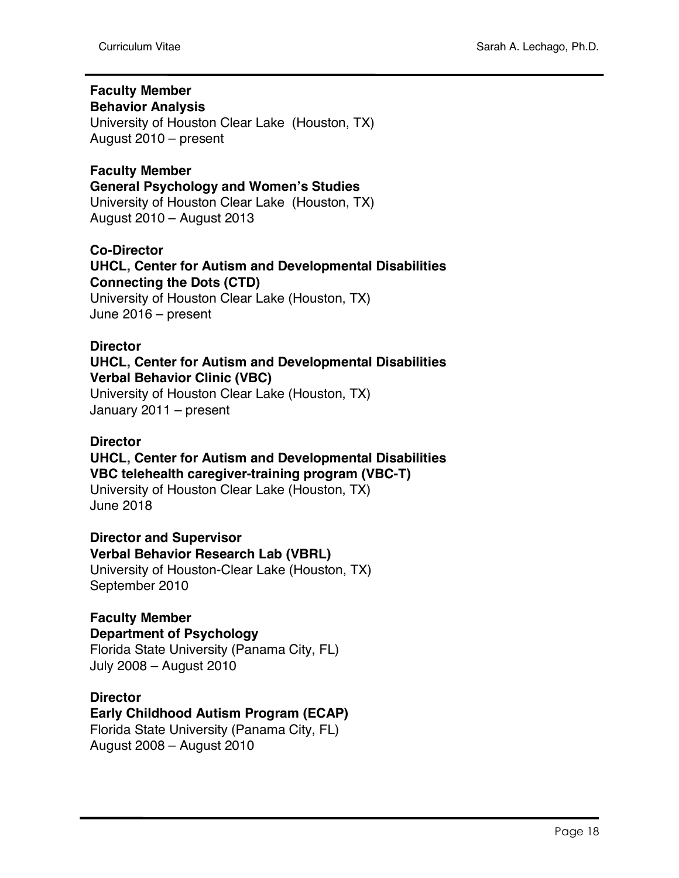# **Faculty Member**

### **Behavior Analysis**

University of Houston Clear Lake (Houston, TX) August 2010 – present

### **Faculty Member**

### **General Psychology and Women's Studies**

University of Houston Clear Lake (Houston, TX) August 2010 – August 2013

## **Co-Director**

# **UHCL, Center for Autism and Developmental Disabilities Connecting the Dots (CTD)**

University of Houston Clear Lake (Houston, TX) June 2016 – present

## **Director**

### **UHCL, Center for Autism and Developmental Disabilities Verbal Behavior Clinic (VBC)**

University of Houston Clear Lake (Houston, TX) January 2011 – present

### **Director**

# **UHCL, Center for Autism and Developmental Disabilities VBC telehealth caregiver-training program (VBC-T)** University of Houston Clear Lake (Houston, TX)

June 2018

## **Director and Supervisor**

## **Verbal Behavior Research Lab (VBRL)**

University of Houston-Clear Lake (Houston, TX) September 2010

# **Faculty Member**

## **Department of Psychology**

Florida State University (Panama City, FL) July 2008 – August 2010

## **Director**

# **Early Childhood Autism Program (ECAP)** Florida State University (Panama City, FL)

August 2008 – August 2010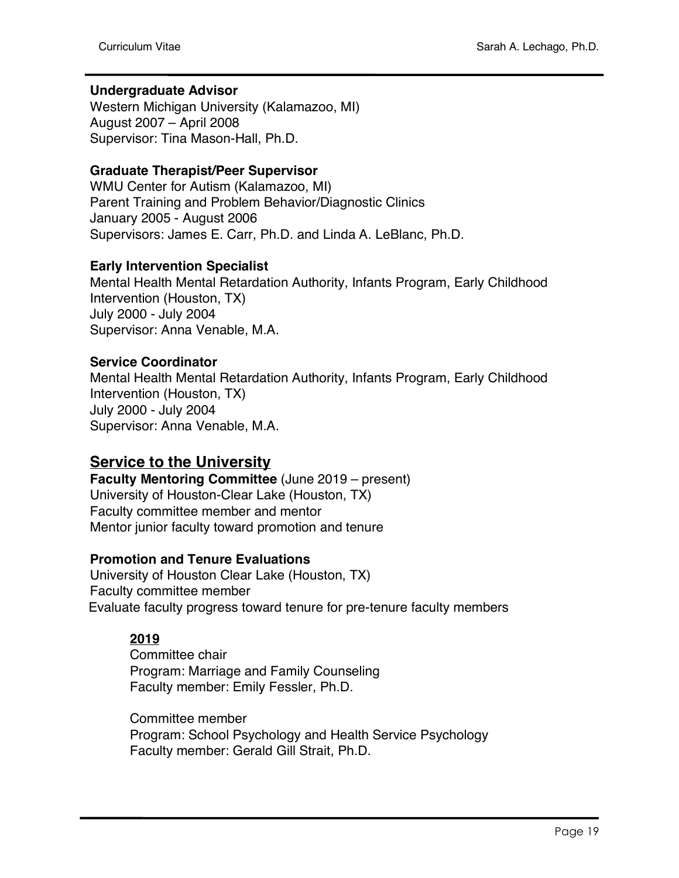### **Undergraduate Advisor**

Western Michigan University (Kalamazoo, MI) August 2007 – April 2008 Supervisor: Tina Mason-Hall, Ph.D.

### **Graduate Therapist/Peer Supervisor**

WMU Center for Autism (Kalamazoo, MI) Parent Training and Problem Behavior/Diagnostic Clinics January 2005 - August 2006 Supervisors: James E. Carr, Ph.D. and Linda A. LeBlanc, Ph.D.

### **Early Intervention Specialist**

Mental Health Mental Retardation Authority, Infants Program, Early Childhood Intervention (Houston, TX) July 2000 - July 2004 Supervisor: Anna Venable, M.A.

## **Service Coordinator**

Mental Health Mental Retardation Authority, Infants Program, Early Childhood Intervention (Houston, TX) July 2000 - July 2004 Supervisor: Anna Venable, M.A.

# **Service to the University**

**Faculty Mentoring Committee** (June 2019 – present) University of Houston-Clear Lake (Houston, TX) Faculty committee member and mentor Mentor junior faculty toward promotion and tenure

## **Promotion and Tenure Evaluations**

University of Houston Clear Lake (Houston, TX) Faculty committee member Evaluate faculty progress toward tenure for pre-tenure faculty members

## **2019**

Committee chair Program: Marriage and Family Counseling Faculty member: Emily Fessler, Ph.D.

Committee member Program: School Psychology and Health Service Psychology Faculty member: Gerald Gill Strait, Ph.D.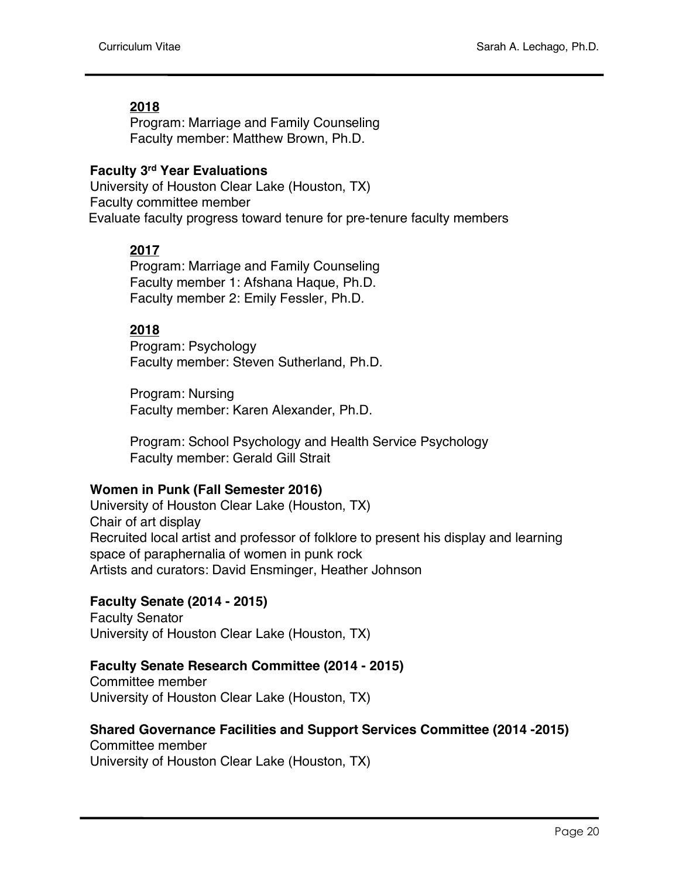## **2018**

Program: Marriage and Family Counseling Faculty member: Matthew Brown, Ph.D.

### **Faculty 3rd Year Evaluations**

University of Houston Clear Lake (Houston, TX) Faculty committee member Evaluate faculty progress toward tenure for pre-tenure faculty members

## **2017**

Program: Marriage and Family Counseling Faculty member 1: Afshana Haque, Ph.D. Faculty member 2: Emily Fessler, Ph.D.

### **2018**

Program: Psychology Faculty member: Steven Sutherland, Ph.D.

Program: Nursing Faculty member: Karen Alexander, Ph.D.

Program: School Psychology and Health Service Psychology Faculty member: Gerald Gill Strait

## **Women in Punk (Fall Semester 2016)**

University of Houston Clear Lake (Houston, TX) Chair of art display Recruited local artist and professor of folklore to present his display and learning space of paraphernalia of women in punk rock Artists and curators: David Ensminger, Heather Johnson

## **Faculty Senate (2014 - 2015)**

Faculty Senator University of Houston Clear Lake (Houston, TX)

## **Faculty Senate Research Committee (2014 - 2015)**

Committee member University of Houston Clear Lake (Houston, TX)

### **Shared Governance Facilities and Support Services Committee (2014 -2015)**

Committee member University of Houston Clear Lake (Houston, TX)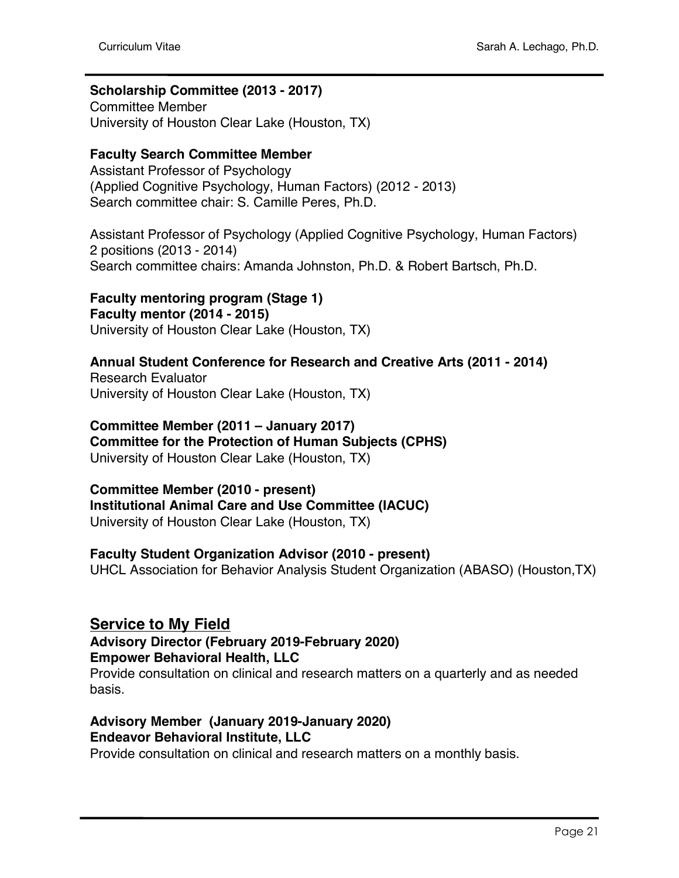## **Scholarship Committee (2013 - 2017)**

Committee Member University of Houston Clear Lake (Houston, TX)

## **Faculty Search Committee Member**

Assistant Professor of Psychology (Applied Cognitive Psychology, Human Factors) (2012 - 2013) Search committee chair: S. Camille Peres, Ph.D.

Assistant Professor of Psychology (Applied Cognitive Psychology, Human Factors) 2 positions (2013 - 2014) Search committee chairs: Amanda Johnston, Ph.D. & Robert Bartsch, Ph.D.

**Faculty mentoring program (Stage 1) Faculty mentor (2014 - 2015)** University of Houston Clear Lake (Houston, TX)

#### **Annual Student Conference for Research and Creative Arts (2011 - 2014)** Research Evaluator University of Houston Clear Lake (Houston, TX)

**Committee Member (2011 – January 2017) Committee for the Protection of Human Subjects (CPHS)**

University of Houston Clear Lake (Houston, TX)

**Committee Member (2010 - present) Institutional Animal Care and Use Committee (IACUC)** University of Houston Clear Lake (Houston, TX)

## **Faculty Student Organization Advisor (2010 - present)**

UHCL Association for Behavior Analysis Student Organization (ABASO) (Houston,TX)

# **Service to My Field**

### **Advisory Director (February 2019-February 2020) Empower Behavioral Health, LLC**

Provide consultation on clinical and research matters on a quarterly and as needed basis.

## **Advisory Member (January 2019-January 2020) Endeavor Behavioral Institute, LLC**

Provide consultation on clinical and research matters on a monthly basis.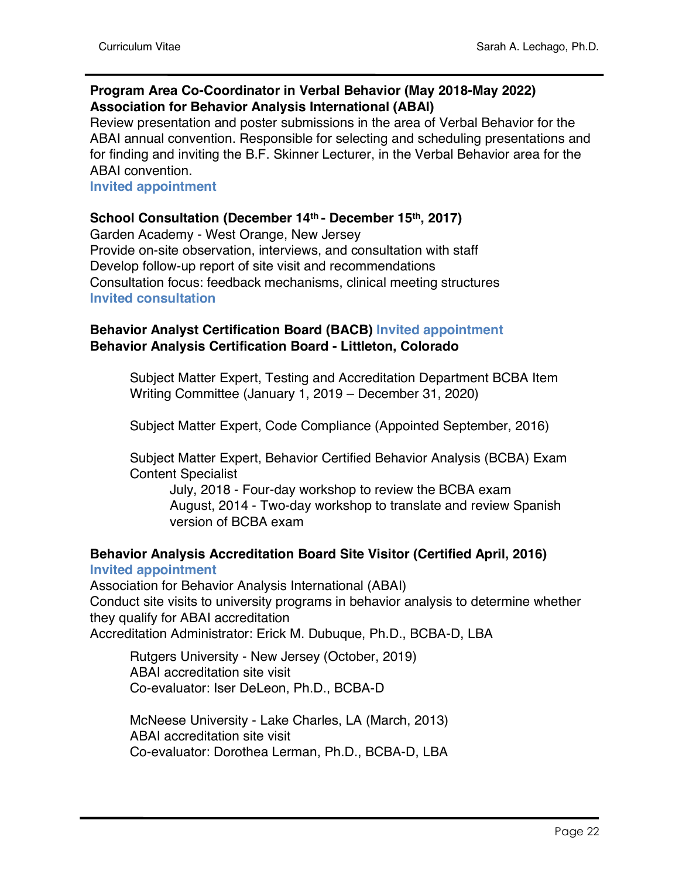### **Program Area Co-Coordinator in Verbal Behavior (May 2018-May 2022) Association for Behavior Analysis International (ABAI)**

Review presentation and poster submissions in the area of Verbal Behavior for the ABAI annual convention. Responsible for selecting and scheduling presentations and for finding and inviting the B.F. Skinner Lecturer, in the Verbal Behavior area for the ABAI convention.

**Invited appointment**

### **School Consultation (December 14th - December 15th, 2017)**

Garden Academy - West Orange, New Jersey

Provide on-site observation, interviews, and consultation with staff Develop follow-up report of site visit and recommendations Consultation focus: feedback mechanisms, clinical meeting structures **Invited consultation**

### **Behavior Analyst Certification Board (BACB) Invited appointment Behavior Analysis Certification Board - Littleton, Colorado**

Subject Matter Expert, Testing and Accreditation Department BCBA Item Writing Committee (January 1, 2019 – December 31, 2020)

Subject Matter Expert, Code Compliance (Appointed September, 2016)

Subject Matter Expert, Behavior Certified Behavior Analysis (BCBA) Exam Content Specialist

July, 2018 - Four-day workshop to review the BCBA exam August, 2014 - Two-day workshop to translate and review Spanish version of BCBA exam

#### **Behavior Analysis Accreditation Board Site Visitor (Certified April, 2016) Invited appointment**

Association for Behavior Analysis International (ABAI) Conduct site visits to university programs in behavior analysis to determine whether they qualify for ABAI accreditation Accreditation Administrator: Erick M. Dubuque, Ph.D., BCBA-D, LBA

Rutgers University - New Jersey (October, 2019) ABAI accreditation site visit Co-evaluator: Iser DeLeon, Ph.D., BCBA-D

McNeese University - Lake Charles, LA (March, 2013) ABAI accreditation site visit Co-evaluator: Dorothea Lerman, Ph.D., BCBA-D, LBA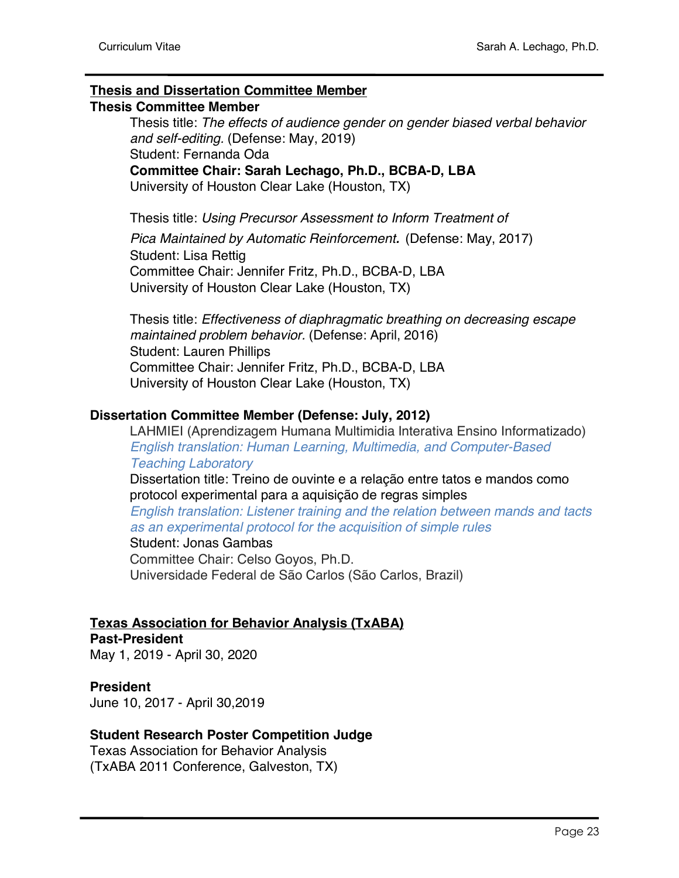# **Thesis and Dissertation Committee Member**

#### **Thesis Committee Member**

Thesis title: *The effects of audience gender on gender biased verbal behavior and self-editing.* (Defense: May, 2019) Student: Fernanda Oda **Committee Chair: Sarah Lechago, Ph.D., BCBA-D, LBA** University of Houston Clear Lake (Houston, TX)

Thesis title: *Using Precursor Assessment to Inform Treatment of Pica Maintained by Automatic Reinforcement.* (Defense: May, 2017) Student: Lisa Rettig Committee Chair: Jennifer Fritz, Ph.D., BCBA-D, LBA University of Houston Clear Lake (Houston, TX)

Thesis title: *Effectiveness of diaphragmatic breathing on decreasing escape maintained problem behavior.* (Defense: April, 2016) Student: Lauren Phillips Committee Chair: Jennifer Fritz, Ph.D., BCBA-D, LBA University of Houston Clear Lake (Houston, TX)

### **Dissertation Committee Member (Defense: July, 2012)**

LAHMIEI (Aprendizagem Humana Multimidia Interativa Ensino Informatizado) *English translation: Human Learning, Multimedia, and Computer-Based Teaching Laboratory*

Dissertation title: Treino de ouvinte e a relação entre tatos e mandos como protocol experimental para a aquisição de regras simples

*English translation: Listener training and the relation between mands and tacts as an experimental protocol for the acquisition of simple rules*

Student: Jonas Gambas Committee Chair: Celso Goyos, Ph.D. Universidade Federal de São Carlos (São Carlos, Brazil)

### **Texas Association for Behavior Analysis (TxABA)**

**Past-President** May 1, 2019 - April 30, 2020

**President**  June 10, 2017 - April 30,2019

## **Student Research Poster Competition Judge**

Texas Association for Behavior Analysis (TxABA 2011 Conference, Galveston, TX)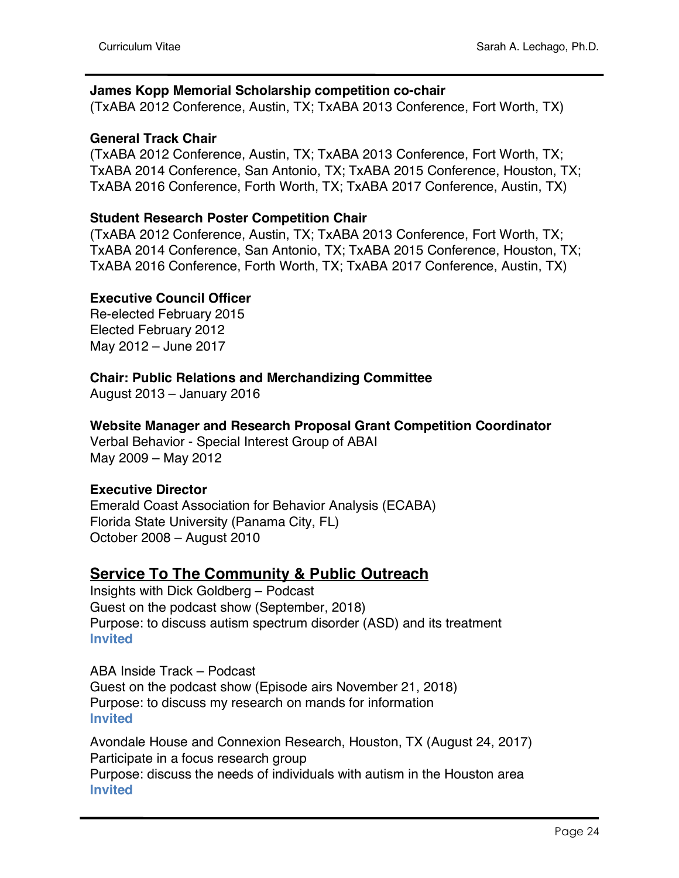### **James Kopp Memorial Scholarship competition co-chair**

(TxABA 2012 Conference, Austin, TX; TxABA 2013 Conference, Fort Worth, TX)

### **General Track Chair**

(TxABA 2012 Conference, Austin, TX; TxABA 2013 Conference, Fort Worth, TX; TxABA 2014 Conference, San Antonio, TX; TxABA 2015 Conference, Houston, TX; TxABA 2016 Conference, Forth Worth, TX; TxABA 2017 Conference, Austin, TX)

#### **Student Research Poster Competition Chair**

(TxABA 2012 Conference, Austin, TX; TxABA 2013 Conference, Fort Worth, TX; TxABA 2014 Conference, San Antonio, TX; TxABA 2015 Conference, Houston, TX; TxABA 2016 Conference, Forth Worth, TX; TxABA 2017 Conference, Austin, TX)

### **Executive Council Officer**

Re-elected February 2015 Elected February 2012 May 2012 – June 2017

**Chair: Public Relations and Merchandizing Committee**

August 2013 – January 2016

### **Website Manager and Research Proposal Grant Competition Coordinator**

Verbal Behavior - Special Interest Group of ABAI May 2009 – May 2012

### **Executive Director**

Emerald Coast Association for Behavior Analysis (ECABA) Florida State University (Panama City, FL) October 2008 – August 2010

# **Service To The Community & Public Outreach**

Insights with Dick Goldberg – Podcast Guest on the podcast show (September, 2018) Purpose: to discuss autism spectrum disorder (ASD) and its treatment **Invited** 

ABA Inside Track – Podcast Guest on the podcast show (Episode airs November 21, 2018) Purpose: to discuss my research on mands for information **Invited** 

Avondale House and Connexion Research, Houston, TX (August 24, 2017) Participate in a focus research group Purpose: discuss the needs of individuals with autism in the Houston area **Invited**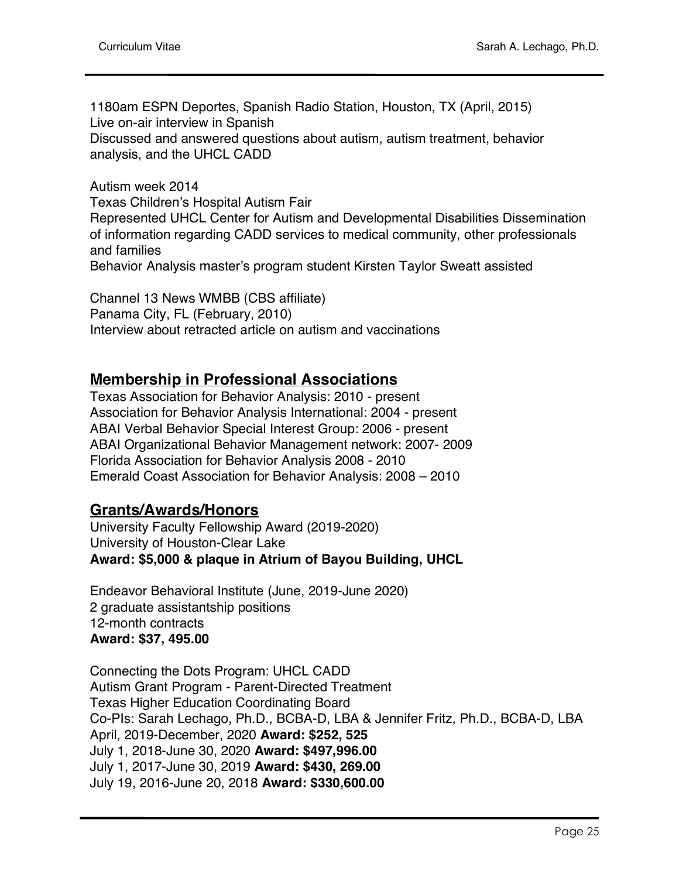1180am ESPN Deportes, Spanish Radio Station, Houston, TX (April, 2015) Live on-air interview in Spanish Discussed and answered questions about autism, autism treatment, behavior analysis, and the UHCL CADD

Autism week 2014 Texas Children's Hospital Autism Fair Represented UHCL Center for Autism and Developmental Disabilities Dissemination of information regarding CADD services to medical community, other professionals and families Behavior Analysis master's program student Kirsten Taylor Sweatt assisted

Channel 13 News WMBB (CBS affiliate) Panama City, FL (February, 2010) Interview about retracted article on autism and vaccinations

# **Membership in Professional Associations**

Texas Association for Behavior Analysis: 2010 - present Association for Behavior Analysis International: 2004 - present ABAI Verbal Behavior Special Interest Group: 2006 - present ABAI Organizational Behavior Management network: 2007- 2009 Florida Association for Behavior Analysis 2008 - 2010 Emerald Coast Association for Behavior Analysis: 2008 – 2010

# **Grants/Awards/Honors**

University Faculty Fellowship Award (2019-2020) University of Houston-Clear Lake **Award: \$5,000 & plaque in Atrium of Bayou Building, UHCL**

Endeavor Behavioral Institute (June, 2019-June 2020) 2 graduate assistantship positions 12-month contracts **Award: \$37, 495.00**

Connecting the Dots Program: UHCL CADD Autism Grant Program - Parent-Directed Treatment Texas Higher Education Coordinating Board Co-PIs: Sarah Lechago, Ph.D., BCBA-D, LBA & Jennifer Fritz, Ph.D., BCBA-D, LBA April, 2019-December, 2020 **Award: \$252, 525** July 1, 2018-June 30, 2020 **Award: \$497,996.00** July 1, 2017-June 30, 2019 **Award: \$430, 269.00** July 19, 2016-June 20, 2018 **Award: \$330,600.00**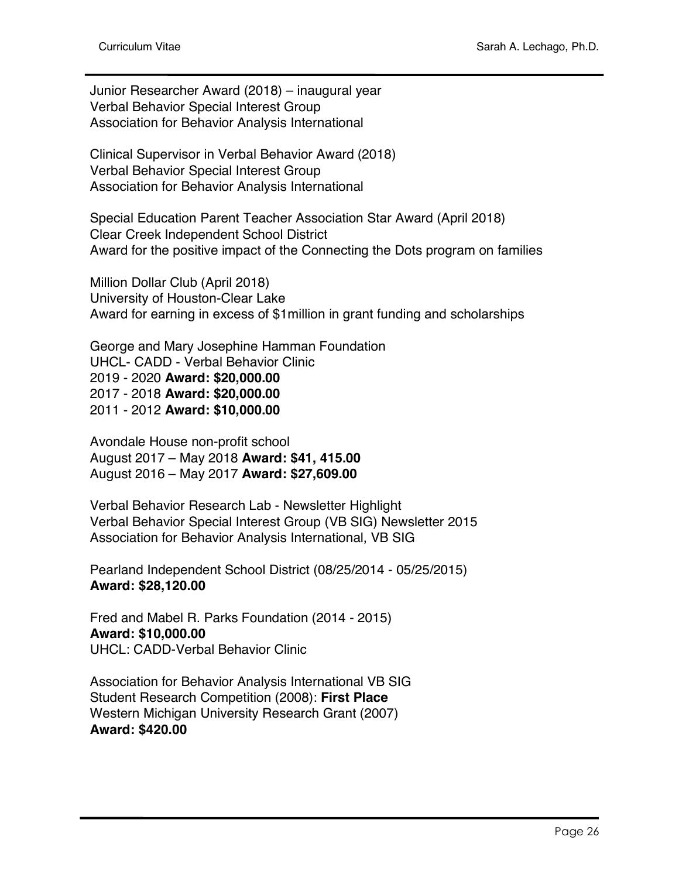Junior Researcher Award (2018) – inaugural year Verbal Behavior Special Interest Group Association for Behavior Analysis International

Clinical Supervisor in Verbal Behavior Award (2018) Verbal Behavior Special Interest Group Association for Behavior Analysis International

Special Education Parent Teacher Association Star Award (April 2018) Clear Creek Independent School District Award for the positive impact of the Connecting the Dots program on families

Million Dollar Club (April 2018) University of Houston-Clear Lake Award for earning in excess of \$1million in grant funding and scholarships

George and Mary Josephine Hamman Foundation UHCL- CADD - Verbal Behavior Clinic 2019 - 2020 **Award: \$20,000.00** 2017 - 2018 **Award: \$20,000.00** 2011 - 2012 **Award: \$10,000.00**

Avondale House non-profit school August 2017 – May 2018 **Award: \$41, 415.00** August 2016 – May 2017 **Award: \$27,609.00**

Verbal Behavior Research Lab - Newsletter Highlight Verbal Behavior Special Interest Group (VB SIG) Newsletter 2015 Association for Behavior Analysis International, VB SIG

Pearland Independent School District (08/25/2014 - 05/25/2015) **Award: \$28,120.00** 

Fred and Mabel R. Parks Foundation (2014 - 2015) **Award: \$10,000.00** UHCL: CADD-Verbal Behavior Clinic

Association for Behavior Analysis International VB SIG Student Research Competition (2008): **First Place** Western Michigan University Research Grant (2007) **Award: \$420.00**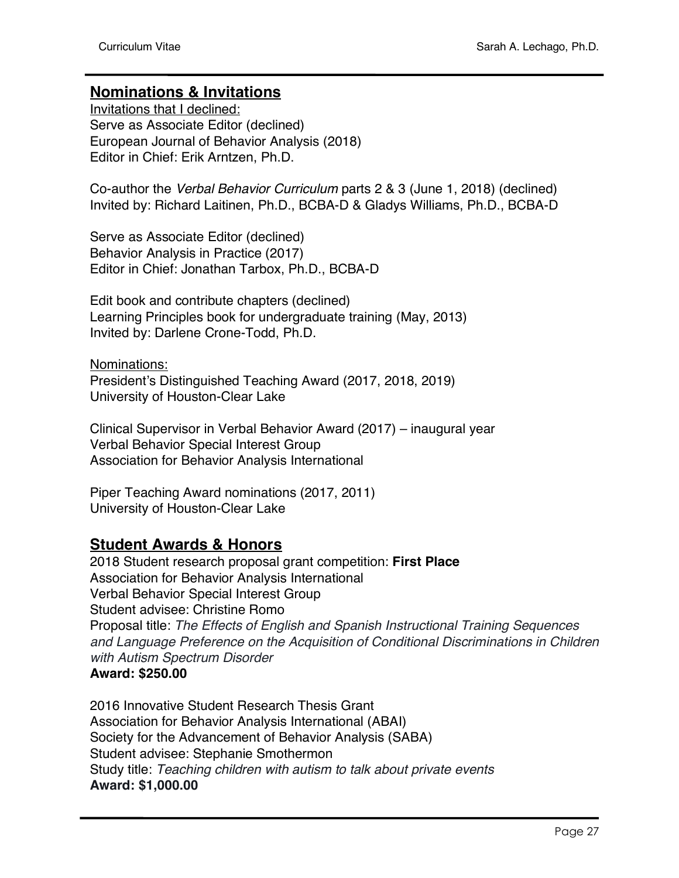# **Nominations & Invitations**

Invitations that I declined: Serve as Associate Editor (declined) European Journal of Behavior Analysis (2018) Editor in Chief: Erik Arntzen, Ph.D.

Co-author the *Verbal Behavior Curriculum* parts 2 & 3 (June 1, 2018) (declined) Invited by: Richard Laitinen, Ph.D., BCBA-D & Gladys Williams, Ph.D., BCBA-D

Serve as Associate Editor (declined) Behavior Analysis in Practice (2017) Editor in Chief: Jonathan Tarbox, Ph.D., BCBA-D

Edit book and contribute chapters (declined) Learning Principles book for undergraduate training (May, 2013) Invited by: Darlene Crone-Todd, Ph.D.

Nominations: President's Distinguished Teaching Award (2017, 2018, 2019) University of Houston-Clear Lake

Clinical Supervisor in Verbal Behavior Award (2017) – inaugural year Verbal Behavior Special Interest Group Association for Behavior Analysis International

Piper Teaching Award nominations (2017, 2011) University of Houston-Clear Lake

# **Student Awards & Honors**

2018 Student research proposal grant competition: **First Place** Association for Behavior Analysis International Verbal Behavior Special Interest Group Student advisee: Christine Romo Proposal title: *The Effects of English and Spanish Instructional Training Sequences and Language Preference on the Acquisition of Conditional Discriminations in Children with Autism Spectrum Disorder*

## **Award: \$250.00**

2016 Innovative Student Research Thesis Grant Association for Behavior Analysis International (ABAI) Society for the Advancement of Behavior Analysis (SABA) Student advisee: Stephanie Smothermon Study title: *Teaching children with autism to talk about private events* **Award: \$1,000.00**